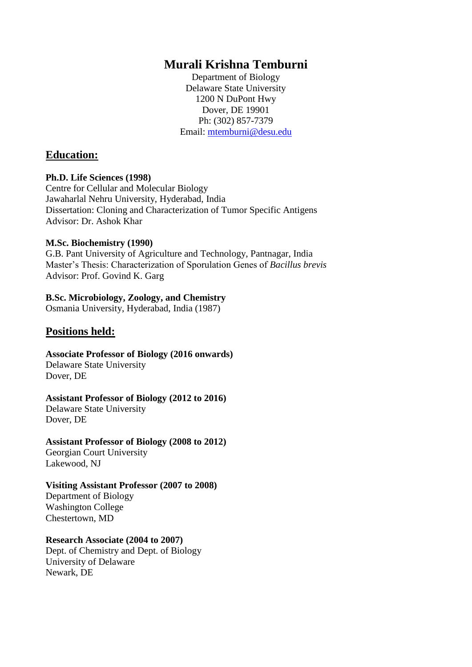## **Murali Krishna Temburni**

Department of Biology Delaware State University 1200 N DuPont Hwy Dover, DE 19901 Ph: (302) 857-7379 Email: [mtemburni@desu.edu](mailto:mtemburni@desu.edu)

#### **Education:**

#### **Ph.D. Life Sciences (1998)**

Centre for Cellular and Molecular Biology Jawaharlal Nehru University, Hyderabad, India Dissertation: Cloning and Characterization of Tumor Specific Antigens Advisor: Dr. Ashok Khar

#### **M.Sc. Biochemistry (1990)**

G.B. Pant University of Agriculture and Technology, Pantnagar, India Master's Thesis: Characterization of Sporulation Genes of *Bacillus brevis* Advisor: Prof. Govind K. Garg

#### **B.Sc. Microbiology, Zoology, and Chemistry**

Osmania University, Hyderabad, India (1987)

### **Positions held:**

**Associate Professor of Biology (2016 onwards)** Delaware State University Dover, DE

#### **Assistant Professor of Biology (2012 to 2016)**

Delaware State University Dover, DE

# **Assistant Professor of Biology (2008 to 2012)**

Georgian Court University Lakewood, NJ

#### **Visiting Assistant Professor (2007 to 2008)**

Department of Biology Washington College Chestertown, MD

#### **Research Associate (2004 to 2007)**

Dept. of Chemistry and Dept. of Biology University of Delaware Newark, DE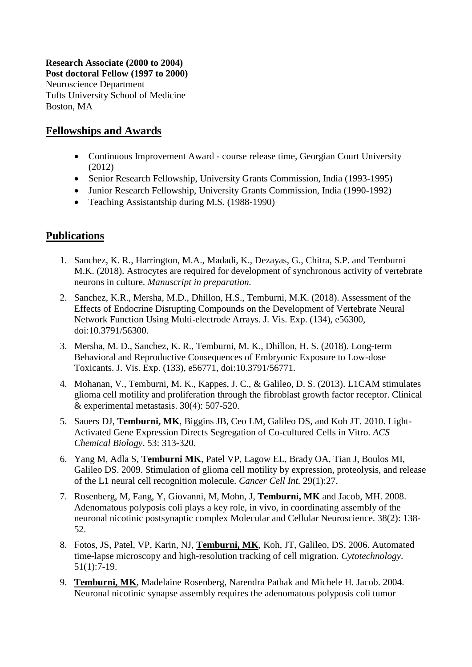**Research Associate (2000 to 2004) Post doctoral Fellow (1997 to 2000)**  Neuroscience Department Tufts University School of Medicine Boston, MA

### **Fellowships and Awards**

- Continuous Improvement Award course release time, Georgian Court University (2012)
- Senior Research Fellowship, University Grants Commission, India (1993-1995)
- Junior Research Fellowship, University Grants Commission, India (1990-1992)
- Teaching Assistantship during M.S. (1988-1990)

## **Publications**

- 1. Sanchez, K. R., Harrington, M.A., Madadi, K., Dezayas, G., Chitra, S.P. and Temburni M.K. (2018). Astrocytes are required for development of synchronous activity of vertebrate neurons in culture. *Manuscript in preparation.*
- 2. Sanchez, K.R., Mersha, M.D., Dhillon, H.S., Temburni, M.K. (2018). Assessment of the Effects of Endocrine Disrupting Compounds on the Development of Vertebrate Neural Network Function Using Multi-electrode Arrays. J. Vis. Exp. (134), e56300, doi:10.3791/56300.
- 3. Mersha, M. D., Sanchez, K. R., Temburni, M. K., Dhillon, H. S. (2018). Long-term Behavioral and Reproductive Consequences of Embryonic Exposure to Low-dose Toxicants. J. Vis. Exp. (133), e56771, doi:10.3791/56771.
- 4. Mohanan, V., Temburni, M. K., Kappes, J. C., & Galileo, D. S. (2013). L1CAM stimulates glioma cell motility and proliferation through the fibroblast growth factor receptor. Clinical & experimental metastasis. 30(4): 507-520.
- 5. Sauers DJ, **Temburni, MK**, Biggins JB, Ceo LM, Galileo DS, and Koh JT. 2010. Light-Activated Gene Expression Directs Segregation of Co-cultured Cells in Vitro. *ACS Chemical Biology*. 53: 313-320.
- 6. Yang M, Adla S, **Temburni MK**, Patel VP, Lagow EL, Brady OA, Tian J, Boulos MI, Galileo DS. 2009. Stimulation of glioma cell motility by expression, proteolysis, and release of the L1 neural cell recognition molecule. *Cancer Cell Int.* 29(1):27.
- 7. Rosenberg, M, Fang, Y, Giovanni, M, Mohn, J, **Temburni, MK** and Jacob, MH. 2008. Adenomatous polyposis coli plays a key role, in vivo, in coordinating assembly of the neuronal nicotinic postsynaptic complex Molecular and Cellular Neuroscience. 38(2): 138- 52.
- 8. Fotos, JS, Patel, VP, Karin, NJ, **Temburni, MK**, Koh, JT, Galileo, DS. 2006. Automated time-lapse microscopy and high-resolution tracking of cell migration. *Cytotechnology*. 51(1):7-19.
- 9. **Temburni, MK**, Madelaine Rosenberg, Narendra Pathak and Michele H. Jacob. 2004. Neuronal nicotinic synapse assembly requires the adenomatous polyposis coli tumor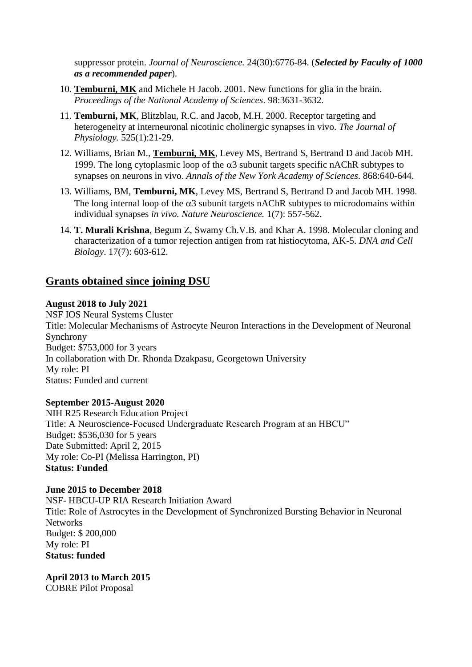suppressor protein. *Journal of Neuroscience.* 24(30):6776-84. (*Selected by Faculty of 1000 as a recommended paper*).

- 10. **Temburni, MK** and Michele H Jacob. 2001. New functions for glia in the brain. *Proceedings of the National Academy of Sciences*. 98:3631-3632.
- 11. **Temburni, MK**, Blitzblau, R.C. and Jacob, M.H. 2000. Receptor targeting and heterogeneity at interneuronal nicotinic cholinergic synapses in vivo. *The Journal of Physiology.* 525(1):21-29.
- 12. Williams, Brian M., **Temburni, MK**, Levey MS, Bertrand S, Bertrand D and Jacob MH. 1999. The long cytoplasmic loop of the  $\alpha$ 3 subunit targets specific nAChR subtypes to synapses on neurons in vivo. *Annals of the New York Academy of Sciences*. 868:640-644.
- 13. Williams, BM, **Temburni, MK**, Levey MS, Bertrand S, Bertrand D and Jacob MH. 1998. The long internal loop of the  $\alpha$ 3 subunit targets nAChR subtypes to microdomains within individual synapses *in vivo. Nature Neuroscience.* 1(7): 557-562.
- 14. **T. Murali Krishna**, Begum Z, Swamy Ch.V.B. and Khar A. 1998. Molecular cloning and characterization of a tumor rejection antigen from rat histiocytoma, AK-5. *DNA and Cell Biology*. 17(7): 603-612.

## **Grants obtained since joining DSU**

#### **August 2018 to July 2021**

NSF IOS Neural Systems Cluster Title: Molecular Mechanisms of Astrocyte Neuron Interactions in the Development of Neuronal Synchrony Budget: \$753,000 for 3 years In collaboration with Dr. Rhonda Dzakpasu, Georgetown University My role: PI Status: Funded and current

#### **September 2015-August 2020**

NIH R25 Research Education Project Title: A Neuroscience-Focused Undergraduate Research Program at an HBCU" Budget: \$536,030 for 5 years Date Submitted: April 2, 2015 My role: Co-PI (Melissa Harrington, PI) **Status: Funded**

**June 2015 to December 2018** NSF- HBCU-UP RIA Research Initiation Award Title: Role of Astrocytes in the Development of Synchronized Bursting Behavior in Neuronal **Networks** Budget: \$ 200,000 My role: PI **Status: funded**

**April 2013 to March 2015** COBRE Pilot Proposal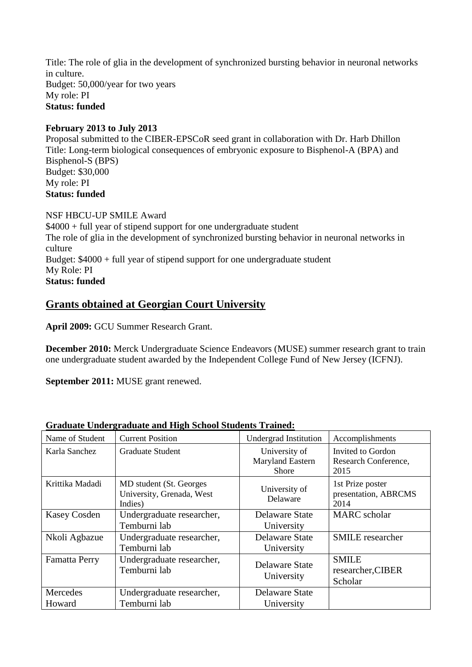Title: The role of glia in the development of synchronized bursting behavior in neuronal networks in culture. Budget: 50,000/year for two years My role: PI **Status: funded**

#### **February 2013 to July 2013**

Proposal submitted to the CIBER-EPSCoR seed grant in collaboration with Dr. Harb Dhillon Title: Long-term biological consequences of embryonic exposure to Bisphenol-A (BPA) and Bisphenol-S (BPS) Budget: \$30,000 My role: PI **Status: funded**

NSF HBCU-UP SMILE Award \$4000 + full year of stipend support for one undergraduate student The role of glia in the development of synchronized bursting behavior in neuronal networks in culture Budget: \$4000 + full year of stipend support for one undergraduate student My Role: PI

**Status: funded**

## **Grants obtained at Georgian Court University**

**April 2009:** GCU Summer Research Grant.

**December 2010:** Merck Undergraduate Science Endeavors (MUSE) summer research grant to train one undergraduate student awarded by the Independent College Fund of New Jersey (ICFNJ).

**September 2011:** MUSE grant renewed.

| Graduate Undergraduate and High School Students Trained: |                                                                  |                                                   |                                                   |  |
|----------------------------------------------------------|------------------------------------------------------------------|---------------------------------------------------|---------------------------------------------------|--|
| Name of Student                                          | <b>Current Position</b>                                          | <b>Undergrad Institution</b>                      | Accomplishments                                   |  |
| Karla Sanchez                                            | <b>Graduate Student</b>                                          | University of<br>Maryland Eastern<br><b>Shore</b> | Invited to Gordon<br>Research Conference,<br>2015 |  |
| Krittika Madadi                                          | MD student (St. Georges)<br>University, Grenada, West<br>Indies) | University of<br>Delaware                         | 1st Prize poster<br>presentation, ABRCMS<br>2014  |  |
| <b>Kasey Cosden</b>                                      | Undergraduate researcher,<br>Temburni lab                        | Delaware State<br>University                      | <b>MARC</b> scholar                               |  |
| Nkoli Agbazue                                            | Undergraduate researcher,<br>Temburni lab                        | Delaware State<br>University                      | <b>SMILE</b> researcher                           |  |
| Famatta Perry                                            | Undergraduate researcher,<br>Temburni lab                        | Delaware State<br>University                      | <b>SMILE</b><br>researcher, CIBER<br>Scholar      |  |
| Mercedes<br>Howard                                       | Undergraduate researcher,<br>Temburni lab                        | Delaware State<br>University                      |                                                   |  |

## **Graduate Undergraduate and High School Students Trained:**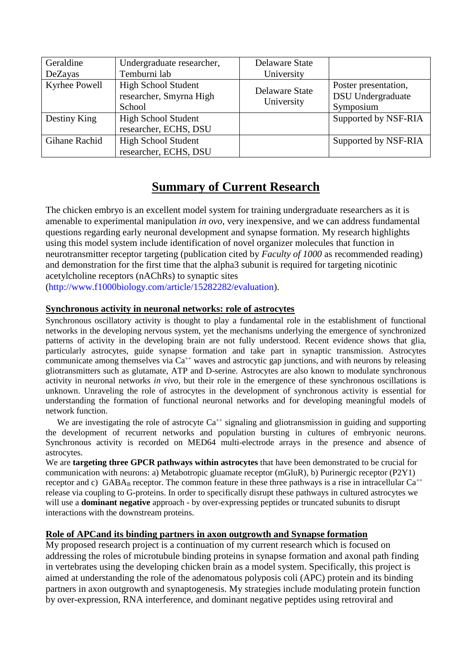| Geraldine<br>DeZayas | Undergraduate researcher,<br>Temburni lab                       | Delaware State<br>University        |                                                               |
|----------------------|-----------------------------------------------------------------|-------------------------------------|---------------------------------------------------------------|
| Kyrhee Powell        | <b>High School Student</b><br>researcher, Smyrna High<br>School | <b>Delaware State</b><br>University | Poster presentation,<br><b>DSU</b> Undergraduate<br>Symposium |
| Destiny King         | <b>High School Student</b><br>researcher, ECHS, DSU             |                                     | Supported by NSF-RIA                                          |
| Gihane Rachid        | <b>High School Student</b><br>researcher, ECHS, DSU             |                                     | Supported by NSF-RIA                                          |

## **Summary of Current Research**

The chicken embryo is an excellent model system for training undergraduate researchers as it is amenable to experimental manipulation *in ovo,* very inexpensive, and we can address fundamental questions regarding early neuronal development and synapse formation. My research highlights using this model system include identification of novel organizer molecules that function in neurotransmitter receptor targeting (publication cited by *Faculty of 1000* as recommended reading) and demonstration for the first time that the alpha3 subunit is required for targeting nicotinic acetylcholine receptors (nAChRs) to synaptic sites

[\(http://www.f1000biology.com/article/15282282/evaluation\)](http://www.f1000biology.com/article/15282282/evaluation).

#### **Synchronous activity in neuronal networks: role of astrocytes**

Synchronous oscillatory activity is thought to play a fundamental role in the establishment of functional networks in the developing nervous system, yet the mechanisms underlying the emergence of synchronized patterns of activity in the developing brain are not fully understood. Recent evidence shows that glia, particularly astrocytes, guide synapse formation and take part in synaptic transmission. Astrocytes communicate among themselves via  $Ca^{++}$  waves and astrocytic gap junctions, and with neurons by releasing gliotransmitters such as glutamate, ATP and D-serine. Astrocytes are also known to modulate synchronous activity in neuronal networks *in vivo*, but their role in the emergence of these synchronous oscillations is unknown. Unraveling the role of astrocytes in the development of synchronous activity is essential for understanding the formation of functional neuronal networks and for developing meaningful models of network function.

We are investigating the role of astrocyte  $Ca^{++}$  signaling and gliotransmission in guiding and supporting the development of recurrent networks and population bursting in cultures of embryonic neurons. Synchronous activity is recorded on MED64 multi-electrode arrays in the presence and absence of astrocytes.

We are **targeting three GPCR pathways within astrocytes** that have been demonstrated to be crucial for communication with neurons: a) Metabotropic gluamate receptor (mGluR), b) Purinergic receptor (P2Y1) receptor and c) GABA<sub>B</sub> receptor. The common feature in these three pathways is a rise in intracellular  $Ca^{++}$ release via coupling to G-proteins. In order to specifically disrupt these pathways in cultured astrocytes we will use a **dominant negative** approach - by over-expressing peptides or truncated subunits to disrupt interactions with the downstream proteins.

#### **Role of APCand its binding partners in axon outgrowth and Synapse formation**

My proposed research project is a continuation of my current research which is focused on addressing the roles of microtubule binding proteins in synapse formation and axonal path finding in vertebrates using the developing chicken brain as a model system. Specifically, this project is aimed at understanding the role of the adenomatous polyposis coli (APC) protein and its binding partners in axon outgrowth and synaptogenesis. My strategies include modulating protein function by over-expression, RNA interference, and dominant negative peptides using retroviral and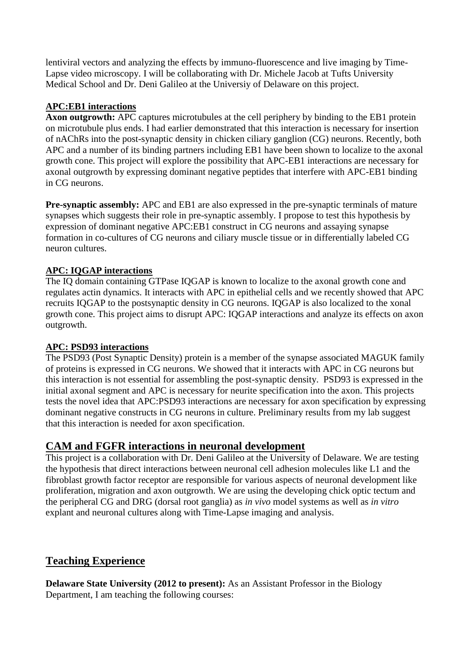lentiviral vectors and analyzing the effects by immuno-fluorescence and live imaging by Time-Lapse video microscopy. I will be collaborating with Dr. Michele Jacob at Tufts University Medical School and Dr. Deni Galileo at the Universiy of Delaware on this project.

#### **APC:EB1 interactions**

**Axon outgrowth:** APC captures microtubules at the cell periphery by binding to the EB1 protein on microtubule plus ends. I had earlier demonstrated that this interaction is necessary for insertion of nAChRs into the post-synaptic density in chicken ciliary ganglion (CG) neurons. Recently, both APC and a number of its binding partners including EB1 have been shown to localize to the axonal growth cone. This project will explore the possibility that APC-EB1 interactions are necessary for axonal outgrowth by expressing dominant negative peptides that interfere with APC-EB1 binding in CG neurons.

**Pre-synaptic assembly:** APC and EB1 are also expressed in the pre-synaptic terminals of mature synapses which suggests their role in pre-synaptic assembly. I propose to test this hypothesis by expression of dominant negative APC:EB1 construct in CG neurons and assaying synapse formation in co-cultures of CG neurons and ciliary muscle tissue or in differentially labeled CG neuron cultures.

#### **APC: IQGAP interactions**

The IQ domain containing GTPase IQGAP is known to localize to the axonal growth cone and regulates actin dynamics. It interacts with APC in epithelial cells and we recently showed that APC recruits IQGAP to the postsynaptic density in CG neurons. IQGAP is also localized to the xonal growth cone. This project aims to disrupt APC: IQGAP interactions and analyze its effects on axon outgrowth.

#### **APC: PSD93 interactions**

The PSD93 (Post Synaptic Density) protein is a member of the synapse associated MAGUK family of proteins is expressed in CG neurons. We showed that it interacts with APC in CG neurons but this interaction is not essential for assembling the post-synaptic density. PSD93 is expressed in the initial axonal segment and APC is necessary for neurite specification into the axon. This projects tests the novel idea that APC:PSD93 interactions are necessary for axon specification by expressing dominant negative constructs in CG neurons in culture. Preliminary results from my lab suggest that this interaction is needed for axon specification.

## **CAM and FGFR interactions in neuronal development**

This project is a collaboration with Dr. Deni Galileo at the University of Delaware. We are testing the hypothesis that direct interactions between neuronal cell adhesion molecules like L1 and the fibroblast growth factor receptor are responsible for various aspects of neuronal development like proliferation, migration and axon outgrowth. We are using the developing chick optic tectum and the peripheral CG and DRG (dorsal root ganglia) as *in vivo* model systems as well as *in vitro* explant and neuronal cultures along with Time-Lapse imaging and analysis.

## **Teaching Experience**

**Delaware State University (2012 to present):** As an Assistant Professor in the Biology Department, I am teaching the following courses: